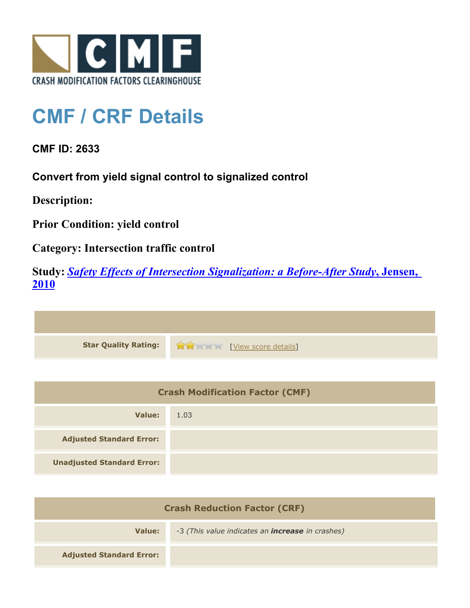

## **CMF / CRF Details**

**CMF ID: 2633**

**Convert from yield signal control to signalized control**

**Description:** 

**Prior Condition: yield control**

**Category: Intersection traffic control**

**Study:** *[Safety Effects of Intersection Signalization: a Before-After Study](http://www.cmfclearinghouse.org/study_detail.cfm?stid=170)***[, Jensen,](http://www.cmfclearinghouse.org/study_detail.cfm?stid=170) [2010](http://www.cmfclearinghouse.org/study_detail.cfm?stid=170)**



| <b>Crash Modification Factor (CMF)</b> |      |
|----------------------------------------|------|
| Value:                                 | 1.03 |
| <b>Adjusted Standard Error:</b>        |      |
| <b>Unadjusted Standard Error:</b>      |      |

| <b>Crash Reduction Factor (CRF)</b> |                                                         |
|-------------------------------------|---------------------------------------------------------|
| Value:                              | -3 (This value indicates an <b>increase</b> in crashes) |
| <b>Adjusted Standard Error:</b>     |                                                         |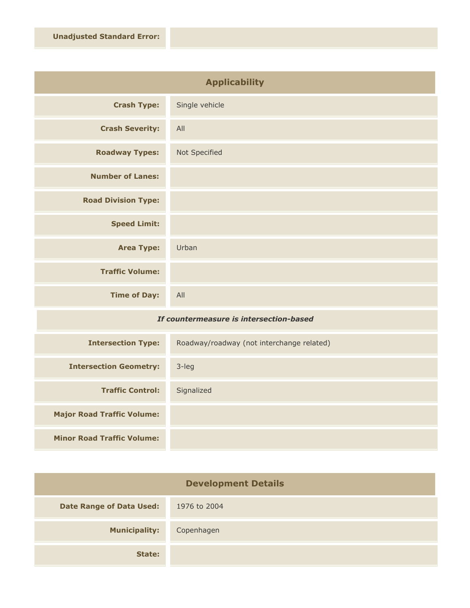| <b>Applicability</b>       |                |
|----------------------------|----------------|
| <b>Crash Type:</b>         | Single vehicle |
| <b>Crash Severity:</b>     | All            |
| <b>Roadway Types:</b>      | Not Specified  |
| <b>Number of Lanes:</b>    |                |
| <b>Road Division Type:</b> |                |
| <b>Speed Limit:</b>        |                |
| <b>Area Type:</b>          | Urban          |
| <b>Traffic Volume:</b>     |                |
| <b>Time of Day:</b>        | All            |

## *If countermeasure is intersection-based*

| <b>Intersection Type:</b>         | Roadway/roadway (not interchange related) |
|-----------------------------------|-------------------------------------------|
| <b>Intersection Geometry:</b>     | $3$ -leg                                  |
| <b>Traffic Control:</b>           | Signalized                                |
| <b>Major Road Traffic Volume:</b> |                                           |
| <b>Minor Road Traffic Volume:</b> |                                           |

| <b>Development Details</b>      |              |
|---------------------------------|--------------|
| <b>Date Range of Data Used:</b> | 1976 to 2004 |
| <b>Municipality:</b>            | Copenhagen   |
| State:                          |              |